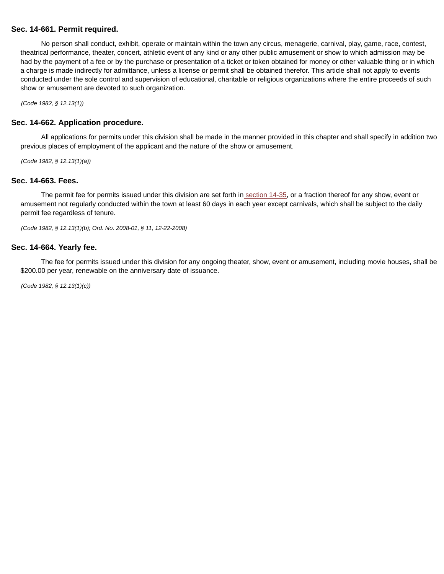# **Sec. 14-661. Permit required.**

No person shall conduct, exhibit, operate or maintain within the town any circus, menagerie, carnival, play, game, race, contest, theatrical performance, theater, concert, athletic event of any kind or any other public amusement or show to which admission may be had by the payment of a fee or by the purchase or presentation of a ticket or token obtained for money or other valuable thing or in which a charge is made indirectly for admittance, unless a license or permit shall be obtained therefor. This article shall not apply to events conducted under the sole control and supervision of educational, charitable or religious organizations where the entire proceeds of such show or amusement are devoted to such organization.

(Code 1982, § 12.13(1))

### **Sec. 14-662. Application procedure.**

All applications for permits under this division shall be made in the manner provided in this chapter and shall specify in addition two previous places of employment of the applicant and the nature of the show or amusement.

(Code 1982, § 12.13(1)(a))

#### **Sec. 14-663. Fees.**

The permit fee for permits issued under this division are set forth in section 14-35, or a fraction thereof for any show, event or amusement not regularly conducted within the town at least 60 days in each year except carnivals, which shall be subject to the daily permit fee regardless of tenure.

(Code 1982, § 12.13(1)(b); Ord. No. 2008-01, § 11, 12-22-2008)

#### **Sec. 14-664. Yearly fee.**

The fee for permits issued under this division for any ongoing theater, show, event or amusement, including movie houses, shall be \$200.00 per year, renewable on the anniversary date of issuance.

(Code 1982, § 12.13(1)(c))